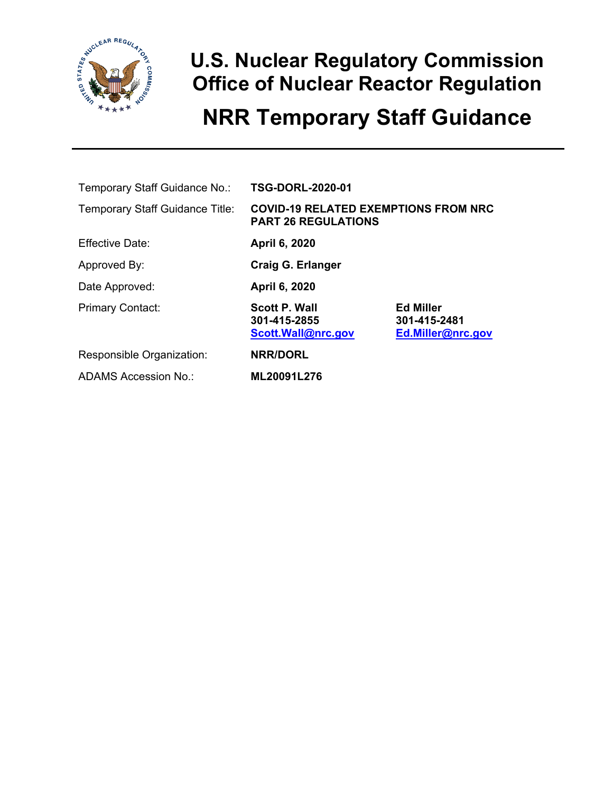

### **U.S. Nuclear Regulatory Commission Office of Nuclear Reactor Regulation NRR Temporary Staff Guidance**

| Temporary Staff Guidance No.:          | <b>TSG-DORL-2020-01</b>                                                   |                                                       |  |
|----------------------------------------|---------------------------------------------------------------------------|-------------------------------------------------------|--|
| <b>Temporary Staff Guidance Title:</b> | <b>COVID-19 RELATED EXEMPTIONS FROM NRC</b><br><b>PART 26 REGULATIONS</b> |                                                       |  |
| <b>Effective Date:</b>                 | April 6, 2020                                                             |                                                       |  |
| Approved By:                           | Craig G. Erlanger                                                         |                                                       |  |
| Date Approved:                         | April 6, 2020                                                             |                                                       |  |
| <b>Primary Contact:</b>                | <b>Scott P. Wall</b><br>301-415-2855<br>Scott.Wall@nrc.gov                | <b>Ed Miller</b><br>301-415-2481<br>Ed.Miller@nrc.gov |  |
| Responsible Organization:              | <b>NRR/DORL</b>                                                           |                                                       |  |
| ADAMS Accession No.:                   | ML20091L276                                                               |                                                       |  |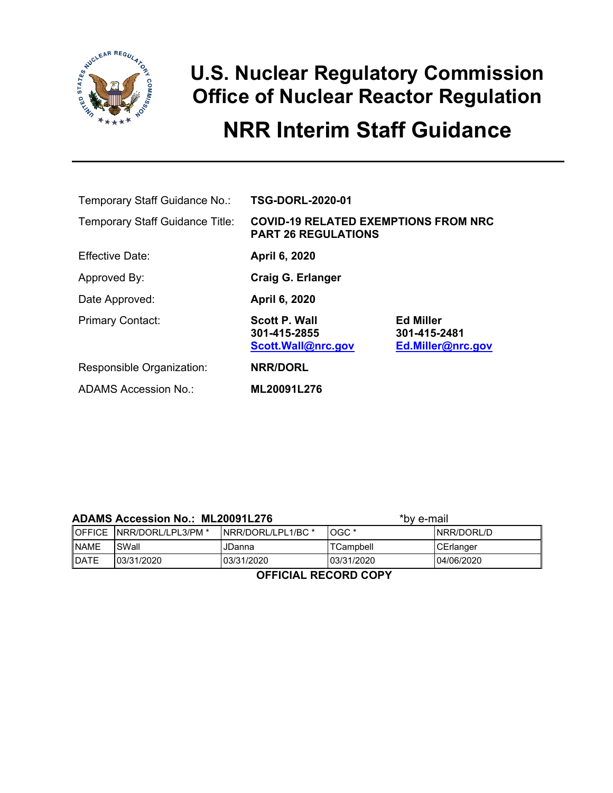

### **U.S. Nuclear Regulatory Commission Office of Nuclear Reactor Regulation**

### **NRR Interim Staff Guidance**

| Temporary Staff Guidance No.:          | <b>TSG-DORL-2020-01</b>                                    |                                                       |  |
|----------------------------------------|------------------------------------------------------------|-------------------------------------------------------|--|
| <b>Temporary Staff Guidance Title:</b> | <b>PART 26 REGULATIONS</b>                                 | <b>COVID-19 RELATED EXEMPTIONS FROM NRC</b>           |  |
| Effective Date:                        | April 6, 2020                                              |                                                       |  |
| Approved By:                           | Craig G. Erlanger                                          |                                                       |  |
| Date Approved:                         | April 6, 2020                                              |                                                       |  |
| <b>Primary Contact:</b>                | <b>Scott P. Wall</b><br>301-415-2855<br>Scott.Wall@nrc.gov | <b>Ed Miller</b><br>301-415-2481<br>Ed.Miller@nrc.gov |  |
| Responsible Organization:              | <b>NRR/DORL</b>                                            |                                                       |  |
| ADAMS Accession No.:                   | ML20091L276                                                |                                                       |  |

| <b>ADAMS Accession No.: ML20091L276</b> |                             |                     | *bv e-mail |                  |  |
|-----------------------------------------|-----------------------------|---------------------|------------|------------------|--|
|                                         | OFFICE   NRR/DORL/LPL3/PM * | INRR/DORL/LPL1/BC * | $LOGC^*$   | INRR/DORL/D      |  |
| <b>NAME</b>                             | SWall                       | JDanna              | TCampbell  | <b>CErlanger</b> |  |
| <b>DATE</b>                             | 03/31/2020                  | 03/31/2020          | 03/31/2020 | 104/06/2020      |  |

**OFFICIAL RECORD COPY**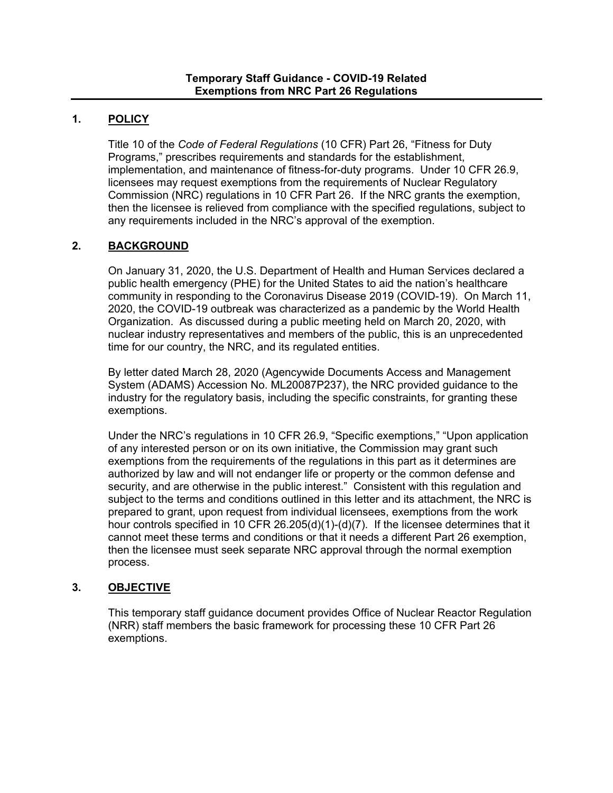### **1. POLICY**

Title 10 of the *Code of Federal Regulations* (10 CFR) Part 26, "Fitness for Duty Programs," prescribes requirements and standards for the establishment, implementation, and maintenance of fitness-for-duty programs. Under 10 CFR 26.9, licensees may request exemptions from the requirements of Nuclear Regulatory Commission (NRC) regulations in 10 CFR Part 26. If the NRC grants the exemption, then the licensee is relieved from compliance with the specified regulations, subject to any requirements included in the NRC's approval of the exemption.

#### **2. BACKGROUND**

On January 31, 2020, the U.S. Department of Health and Human Services declared a public health emergency (PHE) for the United States to aid the nation's healthcare community in responding to the Coronavirus Disease 2019 (COVID-19). On March 11, 2020, the COVID-19 outbreak was characterized as a pandemic by the World Health Organization. As discussed during a public meeting held on March 20, 2020, with nuclear industry representatives and members of the public, this is an unprecedented time for our country, the NRC, and its regulated entities.

By letter dated March 28, 2020 (Agencywide Documents Access and Management System (ADAMS) Accession No. [ML20087P237\)](https://adamsxt.nrc.gov/idmws/ViewDocByAccession.asp?AccessionNumber=ml20087p237), the NRC provided guidance to the industry for the regulatory basis, including the specific constraints, for granting these exemptions.

Under the NRC's regulations in 10 CFR 26.9, "Specific exemptions," "Upon application of any interested person or on its own initiative, the Commission may grant such exemptions from the requirements of the regulations in this part as it determines are authorized by law and will not endanger life or property or the common defense and security, and are otherwise in the public interest." Consistent with this regulation and subject to the terms and conditions outlined in this letter and its attachment, the NRC is prepared to grant, upon request from individual licensees, exemptions from the work hour controls specified in 10 CFR 26.205(d)(1)-(d)(7). If the licensee determines that it cannot meet these terms and conditions or that it needs a different Part 26 exemption, then the licensee must seek separate NRC approval through the normal exemption process.

#### **3. OBJECTIVE**

This temporary staff guidance document provides Office of Nuclear Reactor Regulation (NRR) staff members the basic framework for processing these 10 CFR Part 26 exemptions.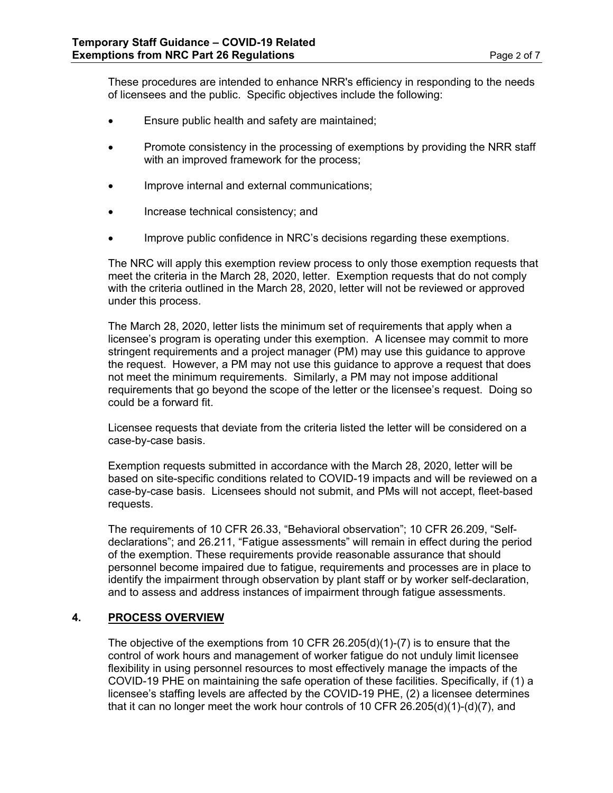These procedures are intended to enhance NRR's efficiency in responding to the needs of licensees and the public. Specific objectives include the following:

- Ensure public health and safety are maintained;
- Promote consistency in the processing of exemptions by providing the NRR staff with an improved framework for the process;
- Improve internal and external communications;
- Increase technical consistency; and
- Improve public confidence in NRC's decisions regarding these exemptions.

The NRC will apply this exemption review process to only those exemption requests that meet the criteria in the March 28, 2020, letter. Exemption requests that do not comply with the criteria outlined in the March 28, 2020, letter will not be reviewed or approved under this process.

The March 28, 2020, letter lists the minimum set of requirements that apply when a licensee's program is operating under this exemption. A licensee may commit to more stringent requirements and a project manager (PM) may use this guidance to approve the request. However, a PM may not use this guidance to approve a request that does not meet the minimum requirements. Similarly, a PM may not impose additional requirements that go beyond the scope of the letter or the licensee's request. Doing so could be a forward fit.

Licensee requests that deviate from the criteria listed the letter will be considered on a case-by-case basis.

Exemption requests submitted in accordance with the March 28, 2020, letter will be based on site-specific conditions related to COVID-19 impacts and will be reviewed on a case-by-case basis. Licensees should not submit, and PMs will not accept, fleet-based requests.

The requirements of 10 CFR 26.33, "Behavioral observation"; 10 CFR 26.209, "Selfdeclarations"; and 26.211, "Fatigue assessments" will remain in effect during the period of the exemption. These requirements provide reasonable assurance that should personnel become impaired due to fatigue, requirements and processes are in place to identify the impairment through observation by plant staff or by worker self-declaration, and to assess and address instances of impairment through fatigue assessments.

#### **4. PROCESS OVERVIEW**

The objective of the exemptions from 10 CFR 26.205(d)(1)-(7) is to ensure that the control of work hours and management of worker fatigue do not unduly limit licensee flexibility in using personnel resources to most effectively manage the impacts of the COVID-19 PHE on maintaining the safe operation of these facilities. Specifically, if (1) a licensee's staffing levels are affected by the COVID-19 PHE, (2) a licensee determines that it can no longer meet the work hour controls of 10 CFR 26.205(d)(1)-(d)(7), and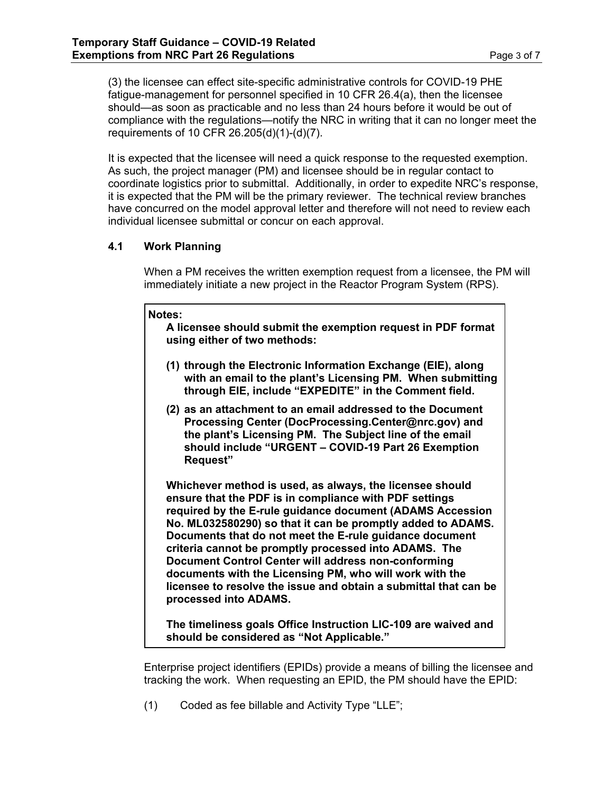(3) the licensee can effect site-specific administrative controls for COVID-19 PHE fatigue-management for personnel specified in 10 CFR 26.4(a), then the licensee should—as soon as practicable and no less than 24 hours before it would be out of compliance with the regulations—notify the NRC in writing that it can no longer meet the requirements of 10 CFR 26.205(d)(1)-(d)(7).

It is expected that the licensee will need a quick response to the requested exemption. As such, the project manager (PM) and licensee should be in regular contact to coordinate logistics prior to submittal. Additionally, in order to expedite NRC's response, it is expected that the PM will be the primary reviewer. The technical review branches have concurred on the model approval letter and therefore will not need to review each individual licensee submittal or concur on each approval.

#### **4.1 Work Planning**

When a PM receives the written exemption request from a licensee, the PM will immediately initiate a new project in the Reactor Program System (RPS).

#### **Notes:**

**A licensee should submit the exemption request in PDF format using either of two methods:**

- **(1) through the Electronic Information Exchange (EIE), along with an email to the plant's Licensing PM. When submitting through EIE, include "EXPEDITE" in the Comment field.**
- **(2) as an attachment to an email addressed to the Document Processing Center [\(DocProcessing.Center@nrc.gov\)](mailto:DocProcessing.Center@nrc.gov) and the plant's Licensing PM. The Subject line of the email should include "URGENT – COVID-19 Part 26 Exemption Request"**

**Whichever method is used, as always, the licensee should ensure that the PDF is in compliance with PDF settings required by the E-rule guidance document (ADAMS Accession No. ML032580290) so that it can be promptly added to ADAMS. Documents that do not meet the E-rule guidance document criteria cannot be promptly processed into ADAMS. The Document Control Center will address non-conforming documents with the Licensing PM, who will work with the licensee to resolve the issue and obtain a submittal that can be processed into ADAMS.**

**The timeliness goals Office Instruction LIC-109 are waived and should be considered as "Not Applicable."**

Enterprise project identifiers (EPIDs) provide a means of billing the licensee and tracking the work. When requesting an EPID, the PM should have the EPID:

(1) Coded as fee billable and Activity Type "LLE";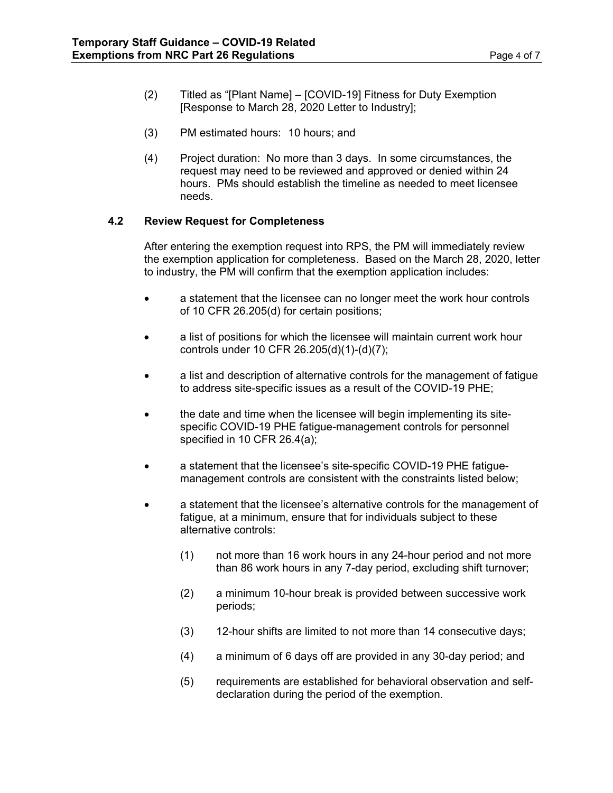- (2) Titled as "[Plant Name] [COVID-19] Fitness for Duty Exemption [Response to March 28, 2020 Letter to Industry];
- (3) PM estimated hours: 10 hours; and
- (4) Project duration: No more than 3 days. In some circumstances, the request may need to be reviewed and approved or denied within 24 hours. PMs should establish the timeline as needed to meet licensee needs.

#### **4.2 Review Request for Completeness**

After entering the exemption request into RPS, the PM will immediately review the exemption application for completeness. Based on the March 28, 2020, letter to industry, the PM will confirm that the exemption application includes:

- a statement that the licensee can no longer meet the work hour controls of 10 CFR 26.205(d) for certain positions;
- a list of positions for which the licensee will maintain current work hour controls under 10 CFR 26.205(d)(1)-(d)(7);
- a list and description of alternative controls for the management of fatigue to address site-specific issues as a result of the COVID-19 PHE;
- the date and time when the licensee will begin implementing its sitespecific COVID-19 PHE fatigue-management controls for personnel specified in 10 CFR 26.4(a);
- a statement that the licensee's site-specific COVID-19 PHE fatiguemanagement controls are consistent with the constraints listed below;
- a statement that the licensee's alternative controls for the management of fatigue, at a minimum, ensure that for individuals subject to these alternative controls:
	- (1) not more than 16 work hours in any 24-hour period and not more than 86 work hours in any 7-day period, excluding shift turnover;
	- (2) a minimum 10-hour break is provided between successive work periods;
	- (3) 12-hour shifts are limited to not more than 14 consecutive days;
	- (4) a minimum of 6 days off are provided in any 30-day period; and
	- (5) requirements are established for behavioral observation and selfdeclaration during the period of the exemption.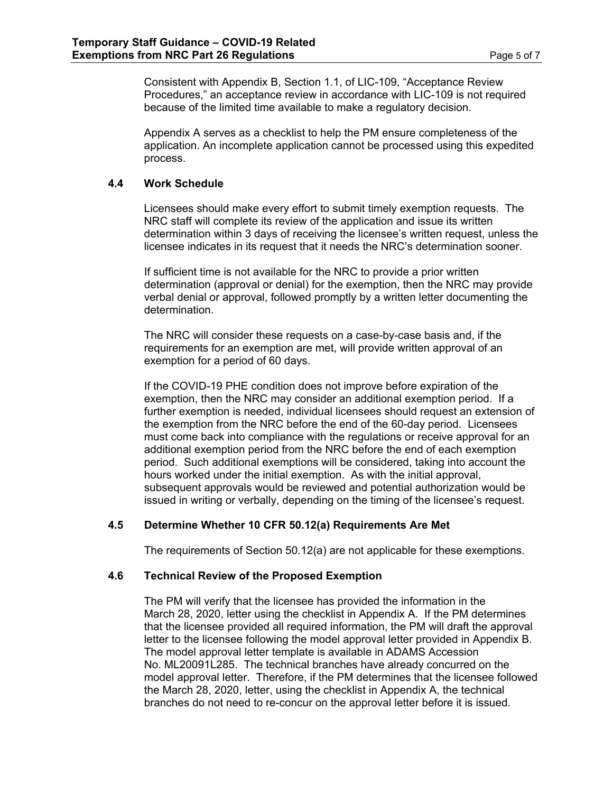Consistent with Appendix B, Section 1.1, of LIC-109, "Acceptance Review Procedures," an acceptance review in accordance with LIC-109 is not required because of the limited time available to make a regulatory decision.

Appendix A serves as a checklist to help the PM ensure completeness of the application. An incomplete application cannot be processed using this expedited process.

#### **4.4 Work Schedule**

Licensees should make every effort to submit timely exemption requests. The NRC staff will complete its review of the application and issue its written determination within 3 days of receiving the licensee's written request, unless the licensee indicates in its request that it needs the NRC's determination sooner.

If sufficient time is not available for the NRC to provide a prior written determination (approval or denial) for the exemption, then the NRC may provide verbal denial or approval, followed promptly by a written letter documenting the determination.

The NRC will consider these requests on a case-by-case basis and, if the requirements for an exemption are met, will provide written approval of an exemption for a period of 60 days.

If the COVID-19 PHE condition does not improve before expiration of the exemption, then the NRC may consider an additional exemption period. If a further exemption is needed, individual licensees should request an extension of the exemption from the NRC before the end of the 60-day period. Licensees must come back into compliance with the regulations or receive approval for an additional exemption period from the NRC before the end of each exemption period. Such additional exemptions will be considered, taking into account the hours worked under the initial exemption. As with the initial approval, subsequent approvals would be reviewed and potential authorization would be issued in writing or verbally, depending on the timing of the licensee's request.

#### **4.5 Determine Whether 10 CFR 50.12(a) Requirements Are Met**

The requirements of Section 50.12(a) are not applicable for these exemptions.

#### **4.6 Technical Review of the Proposed Exemption**

The PM will verify that the licensee has provided the information in the March 28, 2020, letter using the checklist in Appendix A. If the PM determines that the licensee provided all required information, the PM will draft the approval letter to the licensee following the model approval letter provided in Appendix B. The model approval letter template is available in ADAMS Accession No. [ML20091L285.](https://adamsxt.nrc.gov/idmws/ViewDocByAccession.asp?AccessionNumber=ML20091L285) The technical branches have already concurred on the model approval letter. Therefore, if the PM determines that the licensee followed the March 28, 2020, letter, using the checklist in Appendix A, the technical branches do not need to re-concur on the approval letter before it is issued.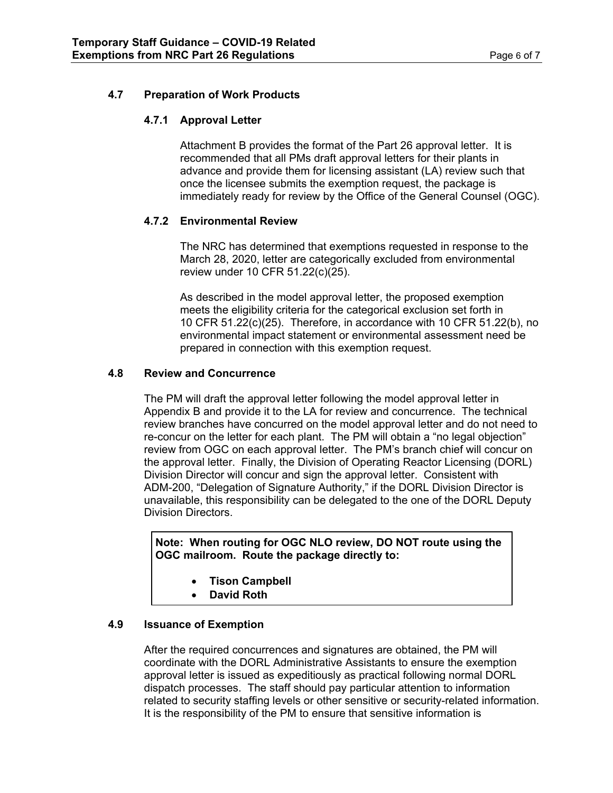#### **4.7 Preparation of Work Products**

#### **4.7.1 Approval Letter**

Attachment B provides the format of the Part 26 approval letter. It is recommended that all PMs draft approval letters for their plants in advance and provide them for licensing assistant (LA) review such that once the licensee submits the exemption request, the package is immediately ready for review by the Office of the General Counsel (OGC).

#### **4.7.2 Environmental Review**

The NRC has determined that exemptions requested in response to the March 28, 2020, letter are categorically excluded from environmental review under 10 CFR 51.22(c)(25).

As described in the model approval letter, the proposed exemption meets the eligibility criteria for the categorical exclusion set forth in 10 CFR 51.22(c)(25). Therefore, in accordance with 10 CFR 51.22(b), no environmental impact statement or environmental assessment need be prepared in connection with this exemption request.

#### **4.8 Review and Concurrence**

The PM will draft the approval letter following the model approval letter in Appendix B and provide it to the LA for review and concurrence. The technical review branches have concurred on the model approval letter and do not need to re-concur on the letter for each plant. The PM will obtain a "no legal objection" review from OGC on each approval letter. The PM's branch chief will concur on the approval letter. Finally, the Division of Operating Reactor Licensing (DORL) Division Director will concur and sign the approval letter. Consistent with ADM-200, "Delegation of Signature Authority," if the DORL Division Director is unavailable, this responsibility can be delegated to the one of the DORL Deputy Division Directors.

**Note: When routing for OGC NLO review, DO NOT route using the OGC mailroom. Route the package directly to:**

- **Tison Campbell**
- **David Roth**

#### **4.9 Issuance of Exemption**

After the required concurrences and signatures are obtained, the PM will coordinate with the DORL Administrative Assistants to ensure the exemption approval letter is issued as expeditiously as practical following normal DORL dispatch processes. The staff should pay particular attention to information related to security staffing levels or other sensitive or security-related information. It is the responsibility of the PM to ensure that sensitive information is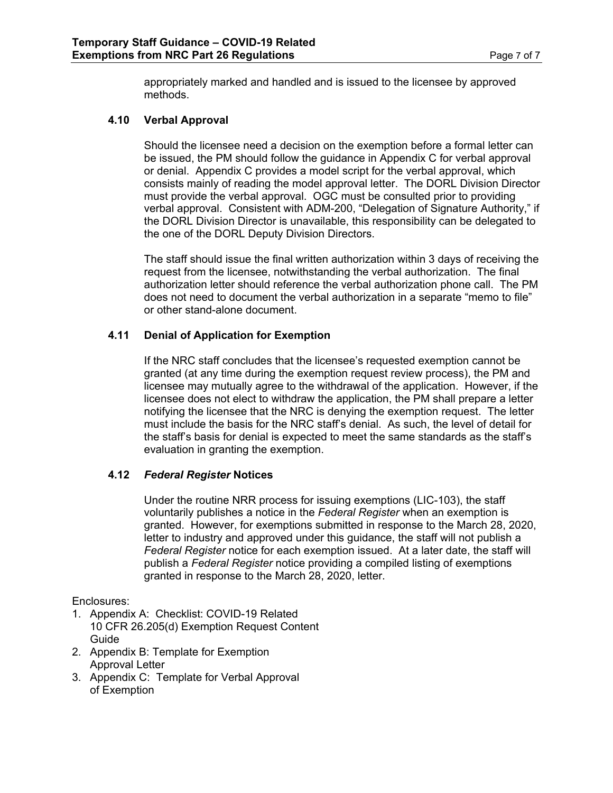appropriately marked and handled and is issued to the licensee by approved methods.

#### **4.10 Verbal Approval**

Should the licensee need a decision on the exemption before a formal letter can be issued, the PM should follow the guidance in Appendix C for verbal approval or denial. Appendix C provides a model script for the verbal approval, which consists mainly of reading the model approval letter. The DORL Division Director must provide the verbal approval. OGC must be consulted prior to providing verbal approval. Consistent with ADM-200, "Delegation of Signature Authority," if the DORL Division Director is unavailable, this responsibility can be delegated to the one of the DORL Deputy Division Directors.

The staff should issue the final written authorization within 3 days of receiving the request from the licensee, notwithstanding the verbal authorization. The final authorization letter should reference the verbal authorization phone call. The PM does not need to document the verbal authorization in a separate "memo to file" or other stand-alone document.

#### **4.11 Denial of Application for Exemption**

If the NRC staff concludes that the licensee's requested exemption cannot be granted (at any time during the exemption request review process), the PM and licensee may mutually agree to the withdrawal of the application. However, if the licensee does not elect to withdraw the application, the PM shall prepare a letter notifying the licensee that the NRC is denying the exemption request. The letter must include the basis for the NRC staff's denial. As such, the level of detail for the staff's basis for denial is expected to meet the same standards as the staff's evaluation in granting the exemption.

#### **4.12** *Federal Register* **Notices**

Under the routine NRR process for issuing exemptions (LIC-103), the staff voluntarily publishes a notice in the *Federal Register* when an exemption is granted. However, for exemptions submitted in response to the March 28, 2020, letter to industry and approved under this guidance, the staff will not publish a *Federal Register* notice for each exemption issued. At a later date, the staff will publish a *Federal Register* notice providing a compiled listing of exemptions granted in response to the March 28, 2020, letter.

Enclosures:

- 1. Appendix A: Checklist: COVID-19 Related 10 CFR 26.205(d) Exemption Request Content Guide
- 2. Appendix B: Template for Exemption Approval Letter
- 3. Appendix C: Template for Verbal Approval of Exemption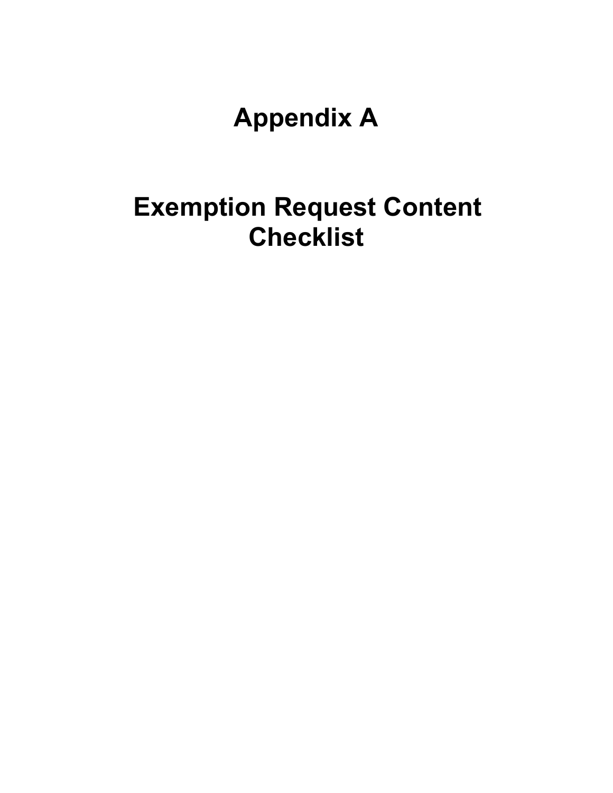**Appendix A**

## **Exemption Request Content Checklist**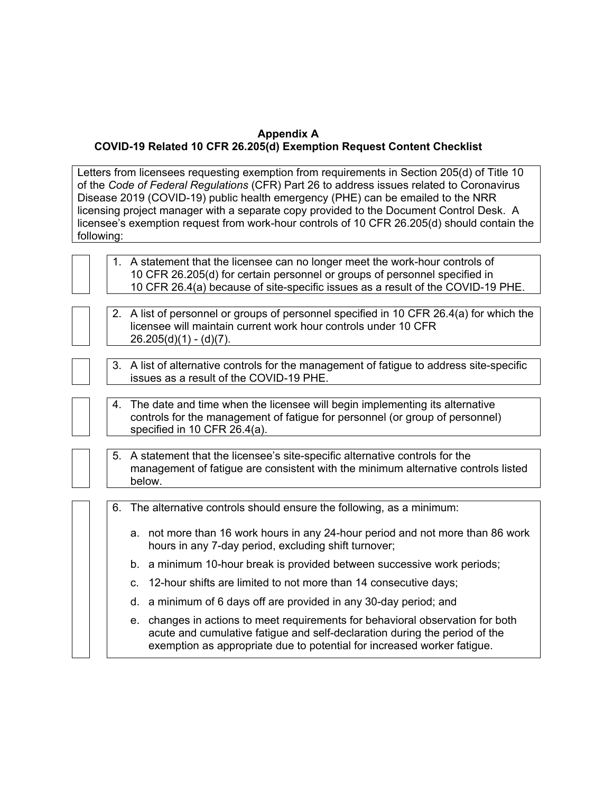#### **Appendix A COVID-19 Related 10 CFR 26.205(d) Exemption Request Content Checklist**

Letters from licensees requesting exemption from requirements in Section 205(d) of Title 10 of the *Code of Federal Regulations* (CFR) Part 26 to address issues related to Coronavirus Disease 2019 (COVID-19) public health emergency (PHE) can be emailed to the NRR licensing project manager with a separate copy provided to the Document Control Desk. A licensee's exemption request from work-hour controls of 10 CFR 26.205(d) should contain the following:



1. A statement that the licensee can no longer meet the work-hour controls of 10 CFR 26.205(d) for certain personnel or groups of personnel specified in 10 CFR 26.4(a) because of site-specific issues as a result of the COVID-19 PHE.



3. A list of alternative controls for the management of fatigue to address site-specific issues as a result of the COVID-19 PHE.



4. The date and time when the licensee will begin implementing its alternative controls for the management of fatigue for personnel (or group of personnel) specified in 10 CFR 26.4(a).

| 5. A statement that the licensee's site-specific alternative controls for the     |
|-----------------------------------------------------------------------------------|
| management of fatigue are consistent with the minimum alternative controls listed |
| below.                                                                            |

| 6. The alternative controls should ensure the following, as a minimum: |                                                                                                                                                                                                                                         |  |
|------------------------------------------------------------------------|-----------------------------------------------------------------------------------------------------------------------------------------------------------------------------------------------------------------------------------------|--|
|                                                                        | a. not more than 16 work hours in any 24-hour period and not more than 86 work<br>hours in any 7-day period, excluding shift turnover;                                                                                                  |  |
|                                                                        | b. a minimum 10-hour break is provided between successive work periods;                                                                                                                                                                 |  |
|                                                                        | c. 12-hour shifts are limited to not more than 14 consecutive days;                                                                                                                                                                     |  |
|                                                                        | d. a minimum of 6 days off are provided in any 30-day period; and                                                                                                                                                                       |  |
|                                                                        | e. changes in actions to meet requirements for behavioral observation for both<br>acute and cumulative fatigue and self-declaration during the period of the<br>exemption as appropriate due to potential for increased worker fatigue. |  |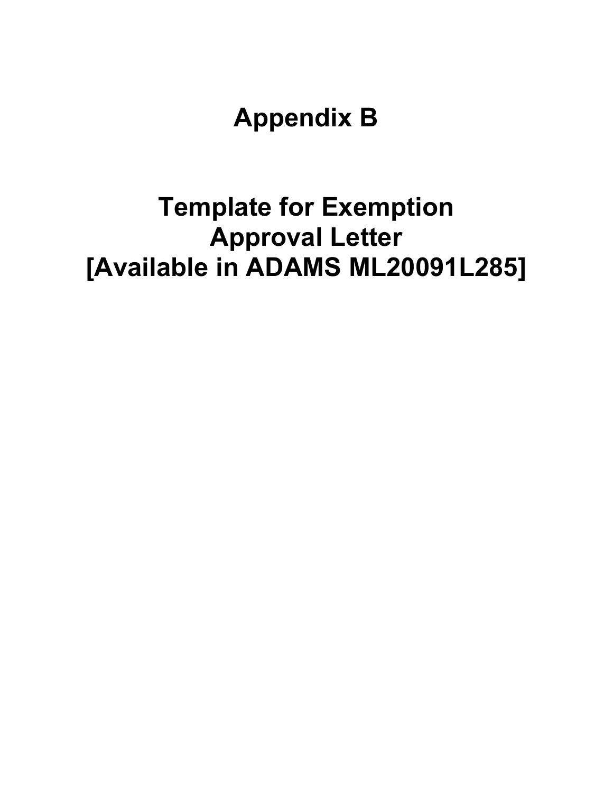**Appendix B**

# **Template for Exemption Approval Letter [Available in ADAMS ML20091L285]**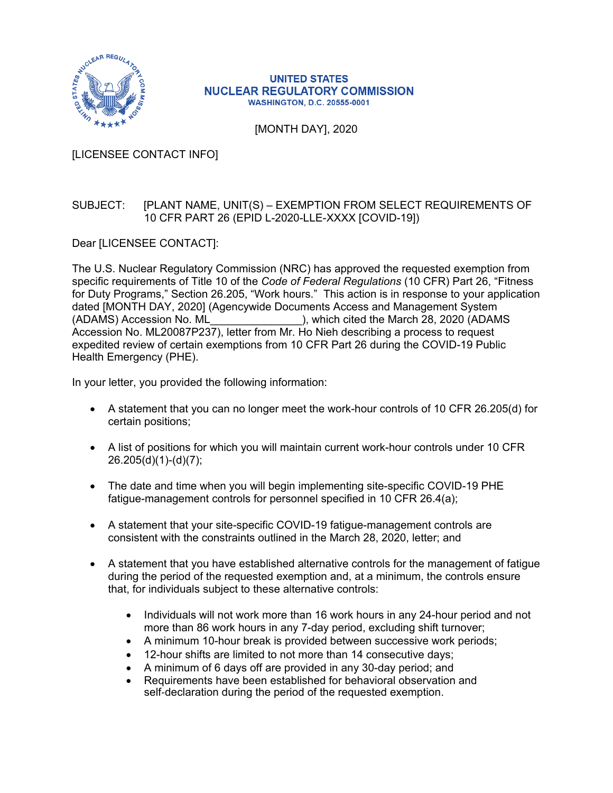

#### **UNITED STATES NUCLEAR REGULATORY COMMISSION WASHINGTON, D.C. 20555-0001**

[MONTH DAY], 2020

[LICENSEE CONTACT INFO]

#### SUBJECT: [PLANT NAME, UNIT(S) – EXEMPTION FROM SELECT REQUIREMENTS OF 10 CFR PART 26 (EPID L-2020-LLE-XXXX [COVID-19])

Dear [LICENSEE CONTACT]:

The U.S. Nuclear Regulatory Commission (NRC) has approved the requested exemption from specific requirements of Title 10 of the *Code of Federal Regulations* (10 CFR) Part 26, "Fitness for Duty Programs," Section 26.205, "Work hours." This action is in response to your application dated [MONTH DAY, 2020] (Agencywide Documents Access and Management System (ADAMS) Accession No. ML\_\_\_\_\_\_\_\_\_\_\_\_\_\_\_), which cited the March 28, 2020 (ADAMS Accession No. ML20087P237), letter from Mr. Ho Nieh describing a process to request expedited review of certain exemptions from 10 CFR Part 26 during the COVID-19 Public Health Emergency (PHE).

In your letter, you provided the following information:

- A statement that you can no longer meet the work-hour controls of 10 CFR 26.205(d) for certain positions;
- A list of positions for which you will maintain current work-hour controls under 10 CFR 26.205(d)(1)-(d)(7);
- The date and time when you will begin implementing site-specific COVID-19 PHE fatigue-management controls for personnel specified in 10 CFR 26.4(a);
- A statement that your site-specific COVID-19 fatigue-management controls are consistent with the constraints outlined in the March 28, 2020, letter; and
- A statement that you have established alternative controls for the management of fatigue during the period of the requested exemption and, at a minimum, the controls ensure that, for individuals subject to these alternative controls:
	- Individuals will not work more than 16 work hours in any 24-hour period and not more than 86 work hours in any 7-day period, excluding shift turnover;
	- A minimum 10-hour break is provided between successive work periods;
	- 12-hour shifts are limited to not more than 14 consecutive days;
	- A minimum of 6 days off are provided in any 30-day period; and
	- Requirements have been established for behavioral observation and self-declaration during the period of the requested exemption.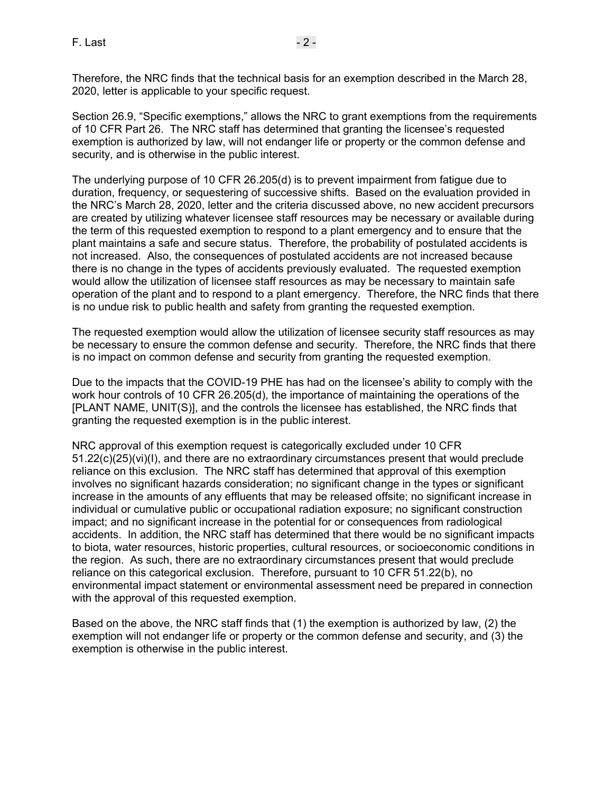Therefore, the NRC finds that the technical basis for an exemption described in the March 28, 2020, letter is applicable to your specific request.

Section 26.9, "Specific exemptions," allows the NRC to grant exemptions from the requirements of 10 CFR Part 26. The NRC staff has determined that granting the licensee's requested exemption is authorized by law, will not endanger life or property or the common defense and security, and is otherwise in the public interest.

The underlying purpose of 10 CFR 26.205(d) is to prevent impairment from fatigue due to duration, frequency, or sequestering of successive shifts. Based on the evaluation provided in the NRC's March 28, 2020, letter and the criteria discussed above, no new accident precursors are created by utilizing whatever licensee staff resources may be necessary or available during the term of this requested exemption to respond to a plant emergency and to ensure that the plant maintains a safe and secure status. Therefore, the probability of postulated accidents is not increased. Also, the consequences of postulated accidents are not increased because there is no change in the types of accidents previously evaluated. The requested exemption would allow the utilization of licensee staff resources as may be necessary to maintain safe operation of the plant and to respond to a plant emergency. Therefore, the NRC finds that there is no undue risk to public health and safety from granting the requested exemption.

The requested exemption would allow the utilization of licensee security staff resources as may be necessary to ensure the common defense and security. Therefore, the NRC finds that there is no impact on common defense and security from granting the requested exemption.

Due to the impacts that the COVID-19 PHE has had on the licensee's ability to comply with the work hour controls of 10 CFR 26.205(d), the importance of maintaining the operations of the [PLANT NAME, UNIT(S)], and the controls the licensee has established, the NRC finds that granting the requested exemption is in the public interest.

NRC approval of this exemption request is categorically excluded under 10 CFR 51.22(c)(25)(vi)(I), and there are no extraordinary circumstances present that would preclude reliance on this exclusion. The NRC staff has determined that approval of this exemption involves no significant hazards consideration; no significant change in the types or significant increase in the amounts of any effluents that may be released offsite; no significant increase in individual or cumulative public or occupational radiation exposure; no significant construction impact; and no significant increase in the potential for or consequences from radiological accidents. In addition, the NRC staff has determined that there would be no significant impacts to biota, water resources, historic properties, cultural resources, or socioeconomic conditions in the region. As such, there are no extraordinary circumstances present that would preclude reliance on this categorical exclusion. Therefore, pursuant to 10 CFR 51.22(b), no environmental impact statement or environmental assessment need be prepared in connection with the approval of this requested exemption.

Based on the above, the NRC staff finds that (1) the exemption is authorized by law, (2) the exemption will not endanger life or property or the common defense and security, and (3) the exemption is otherwise in the public interest.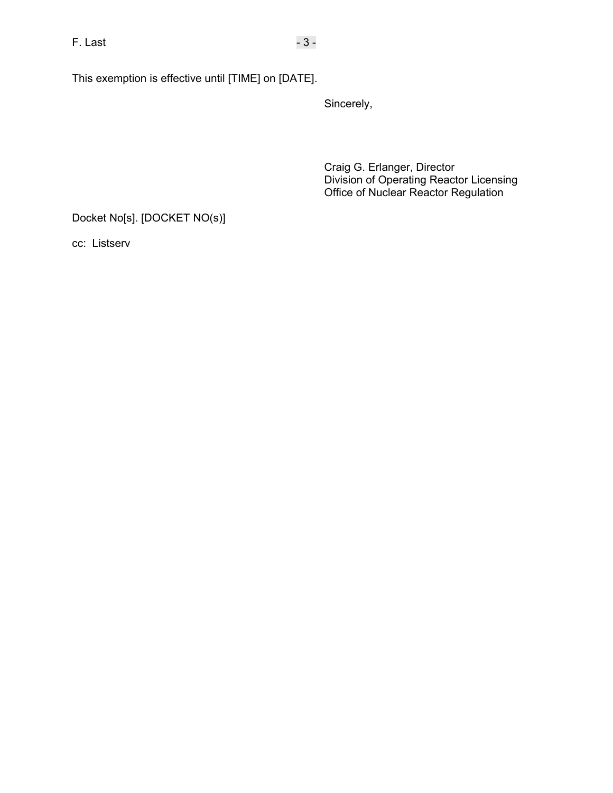This exemption is effective until [TIME] on [DATE].

Sincerely,

Craig G. Erlanger, Director Division of Operating Reactor Licensing Office of Nuclear Reactor Regulation

Docket No[s]. [DOCKET NO(s)]

cc: Listserv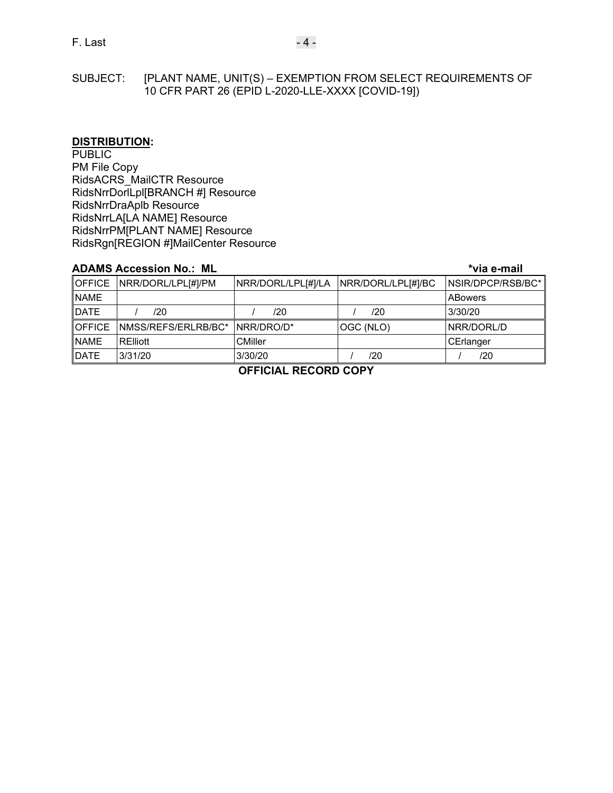SUBJECT: [PLANT NAME, UNIT(S) – EXEMPTION FROM SELECT REQUIREMENTS OF 10 CFR PART 26 (EPID L-2020-LLE-XXXX [COVID-19])

#### **DISTRIBUTION:**

**PUBLIC** PM File Copy RidsACRS\_MailCTR Resource RidsNrrDorlLpl[BRANCH #] Resource RidsNrrDraAplb Resource RidsNrrLA[LA NAME] Resource RidsNrrPM[PLANT NAME] Resource RidsRgn[REGION #]MailCenter Resource

#### **ADAMS Accession No.: ML \*via e-mail**

|               | OFFICE   NRR/DORL/LPL[#]/PM | NRR/DORL/LPL[#]/LA NRR/DORL/LPL[#]/BC |           | NSIR/DPCP/RSB/BC* |  |
|---------------|-----------------------------|---------------------------------------|-----------|-------------------|--|
| <b>NAME</b>   |                             |                                       |           | <b>ABowers</b>    |  |
| <b>DATE</b>   | /20                         | /20                                   | /20       | 3/30/20           |  |
| <b>OFFICE</b> | NMSS/REFS/ERLRB/BC*         | INRR/DRO/D*                           | OGC (NLO) | INRR/DORL/D       |  |
| <b>NAME</b>   | RElliott                    | <b>CMiller</b>                        |           | CErlanger         |  |
| <b>DATE</b>   | 3/31/20                     | 3/30/20                               | /20       | /20               |  |

**OFFICIAL RECORD COPY**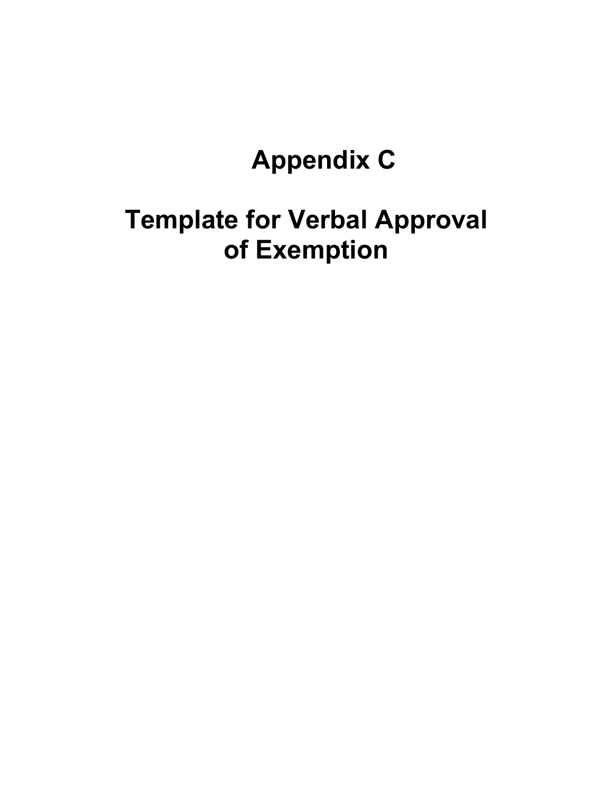# **Appendix C**

## **Template for Verbal Approval of Exemption**